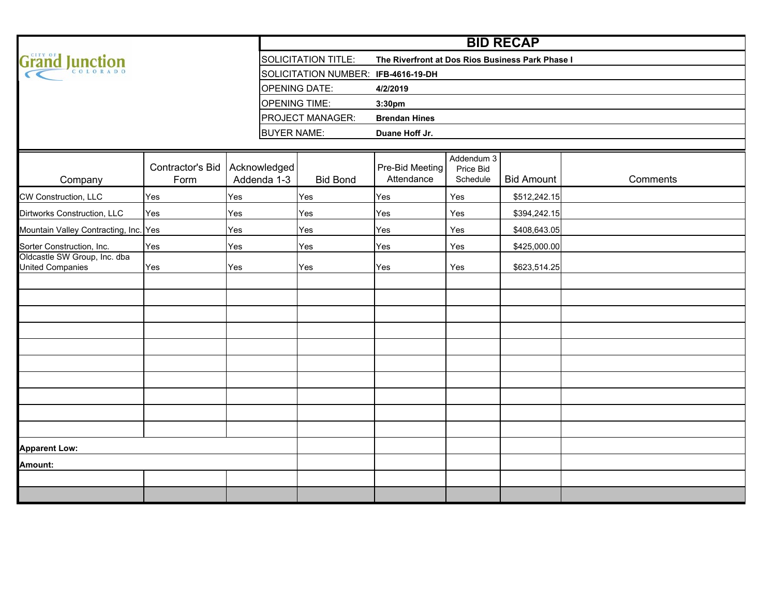|                                                  |                          |                             | <b>BID RECAP</b>                    |                                                  |                                     |                   |          |  |  |  |  |  |  |  |  |  |
|--------------------------------------------------|--------------------------|-----------------------------|-------------------------------------|--------------------------------------------------|-------------------------------------|-------------------|----------|--|--|--|--|--|--|--|--|--|
| Grand<br>Junction                                |                          |                             | <b>SOLICITATION TITLE:</b>          | The Riverfront at Dos Rios Business Park Phase I |                                     |                   |          |  |  |  |  |  |  |  |  |  |
|                                                  |                          |                             | SOLICITATION NUMBER: IFB-4616-19-DH |                                                  |                                     |                   |          |  |  |  |  |  |  |  |  |  |
|                                                  |                          |                             | <b>OPENING DATE:</b>                | 4/2/2019                                         |                                     |                   |          |  |  |  |  |  |  |  |  |  |
|                                                  |                          |                             | <b>OPENING TIME:</b>                | 3:30pm                                           |                                     |                   |          |  |  |  |  |  |  |  |  |  |
|                                                  |                          |                             | PROJECT MANAGER:                    | <b>Brendan Hines</b>                             |                                     |                   |          |  |  |  |  |  |  |  |  |  |
|                                                  |                          |                             | <b>BUYER NAME:</b>                  | Duane Hoff Jr.                                   |                                     |                   |          |  |  |  |  |  |  |  |  |  |
|                                                  |                          |                             |                                     |                                                  |                                     |                   |          |  |  |  |  |  |  |  |  |  |
| Company                                          | Contractor's Bid<br>Form | Acknowledged<br>Addenda 1-3 | <b>Bid Bond</b>                     | Pre-Bid Meeting<br>Attendance                    | Addendum 3<br>Price Bid<br>Schedule | <b>Bid Amount</b> | Comments |  |  |  |  |  |  |  |  |  |
| CW Construction, LLC                             | Yes                      | Yes                         | Yes                                 | Yes                                              | Yes                                 | \$512,242.15      |          |  |  |  |  |  |  |  |  |  |
| Dirtworks Construction, LLC                      | Yes                      | Yes                         | Yes                                 | Yes                                              | Yes                                 | \$394,242.15      |          |  |  |  |  |  |  |  |  |  |
| Mountain Valley Contracting, Inc. Yes            |                          | Yes                         | Yes                                 | Yes                                              | Yes                                 | \$408,643.05      |          |  |  |  |  |  |  |  |  |  |
| Sorter Construction, Inc.                        | Yes                      | Yes                         | Yes                                 | Yes                                              | Yes                                 | \$425,000.00      |          |  |  |  |  |  |  |  |  |  |
| Oldcastle SW Group, Inc. dba<br>United Companies | Yes<br>Yes               |                             | Yes                                 | Yes                                              | Yes                                 | \$623,514.25      |          |  |  |  |  |  |  |  |  |  |
|                                                  |                          |                             |                                     |                                                  |                                     |                   |          |  |  |  |  |  |  |  |  |  |
|                                                  |                          |                             |                                     |                                                  |                                     |                   |          |  |  |  |  |  |  |  |  |  |
|                                                  |                          |                             |                                     |                                                  |                                     |                   |          |  |  |  |  |  |  |  |  |  |
|                                                  |                          |                             |                                     |                                                  |                                     |                   |          |  |  |  |  |  |  |  |  |  |
|                                                  |                          |                             |                                     |                                                  |                                     |                   |          |  |  |  |  |  |  |  |  |  |
|                                                  |                          |                             |                                     |                                                  |                                     |                   |          |  |  |  |  |  |  |  |  |  |
|                                                  |                          |                             |                                     |                                                  |                                     |                   |          |  |  |  |  |  |  |  |  |  |
|                                                  |                          |                             |                                     |                                                  |                                     |                   |          |  |  |  |  |  |  |  |  |  |
|                                                  |                          |                             |                                     |                                                  |                                     |                   |          |  |  |  |  |  |  |  |  |  |
|                                                  |                          |                             |                                     |                                                  |                                     |                   |          |  |  |  |  |  |  |  |  |  |
| <b>Apparent Low:</b>                             |                          |                             |                                     |                                                  |                                     |                   |          |  |  |  |  |  |  |  |  |  |
| Amount:                                          |                          |                             |                                     |                                                  |                                     |                   |          |  |  |  |  |  |  |  |  |  |
|                                                  |                          |                             |                                     |                                                  |                                     |                   |          |  |  |  |  |  |  |  |  |  |
|                                                  |                          |                             |                                     |                                                  |                                     |                   |          |  |  |  |  |  |  |  |  |  |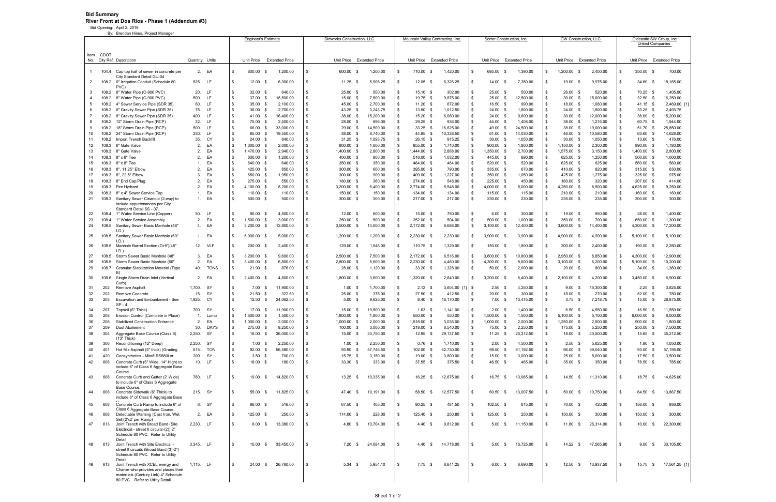## **Bid Summary River Front at Dos Rios - Phase 1 (Addendum #3)**

Bid Opening: April 2, 2019

| By: Brendan Hines, Project Manager |                |                                                                                                                                                                   | <b>Engineer's Estimate</b> |                        |              | Dirtworks Construction, LLC  |             |                       | Mountain Valley Contracting, Inc.   |                              |                       |                           |                                    | Sorter Construction, Inc. |                    | CW Construction, LLC              |                           | Oldcastle SW Group, Inc. |                                    |                       |                           |                                 |                       |  |
|------------------------------------|----------------|-------------------------------------------------------------------------------------------------------------------------------------------------------------------|----------------------------|------------------------|--------------|------------------------------|-------------|-----------------------|-------------------------------------|------------------------------|-----------------------|---------------------------|------------------------------------|---------------------------|--------------------|-----------------------------------|---------------------------|--------------------------|------------------------------------|-----------------------|---------------------------|---------------------------------|-----------------------|--|
|                                    |                |                                                                                                                                                                   |                            |                        |              |                              |             |                       |                                     |                              |                       |                           |                                    |                           |                    |                                   |                           |                          |                                    |                       |                           | <b>United Companies</b>         |                       |  |
|                                    | Item CDOT.     | No. City Ref. Description                                                                                                                                         | Quantity                   | Units                  |              | Unit Price                   |             | <b>Extended Price</b> | Unit Price<br><b>Extended Price</b> |                              |                       | Unit Price Extended Price |                                    |                           | Unit Price         | <b>Extended Price</b>             | Unit Price Extended Price |                          |                                    |                       | Unit Price Extended Price |                                 |                       |  |
| $\mathbf{1}$                       |                | 104.4 Cap top half of sewer in concrete per<br>City Standard Detail GU-04                                                                                         | 2.                         | EA                     | \$           | 600.00                       | - \$        | 1,200.00              | \$                                  | 600.00 \$                    | 1,200.00              |                           | 710.00<br>- \$                     | 1,420.00                  | \$                 | 695.00<br>\$                      | 1,390.00                  | \$                       | 1,200.00<br>- \$                   | 2,400.00              | - \$                      | 350.00 \$                       | 700.00                |  |
| 2                                  | 108.2          | 6" Irrigation Conduit (Schedule 80<br>PVC)                                                                                                                        | 525.                       | -LF                    | $\mathbb{S}$ | $12.00$ \$                   |             | 6,300.00              | - \$                                | $11.25$ \$                   | 5,906.25              |                           | 12.05<br>- \$                      | 6,326.25                  | \$.                | 14.00<br>- \$                     | 7,350.00                  | \$                       | 19.00<br>- \$                      | 9,975.00              | l S                       | 34.60<br>- \$                   | 18,165.00             |  |
| -3                                 | 108.2          | 6" Water Pipe (C-900 PVC)                                                                                                                                         | 20.                        | <b>LF</b>              | \$           | $32.00$ \$                   |             | 640.00                | \$                                  | 25.00 \$                     | 500.00                |                           | 15.10 \$                           | 302.00                    | \$                 | $25.00$ \$                        | 500.00                    | \$                       | 26.00<br>- \$                      | 520.00                | - \$                      | 70.25 \$                        | 1,405.00              |  |
| 4                                  | 108.2          | 8" Water Pipe (C-900 PVC)                                                                                                                                         | 500.                       | <b>LF</b>              | \$           | 37.00 \$                     |             | 18,500.00             | \$                                  | 15.00 \$                     | 7,500.00              |                           | 19.75 \$                           | 9,875.00                  | \$                 | $25.00\quad$ \$                   | 12,500.00                 | \$                       | $30.00$ \$                         | 15,000.00             | $\sqrt{3}$                | $32.50$ \$                      | 16,250.00             |  |
| 5                                  | 108.2          | 4" Sewer Service Pipe (SDR 35)                                                                                                                                    | 60.                        | LF                     | \$           | 35.00 \$                     |             | 2,100.00              | - \$                                | 45.00 \$                     | 2,700.00              |                           | 11.20<br>- \$                      | 672.00                    | \$                 | $16.50$ \$                        | 990.00                    | \$                       | 18.00<br>- \$                      | 1,080.00              | \$                        | $41.15$ \$                      | 2,469.00 [1]          |  |
| 6                                  | 108.2<br>108.2 | 6" Gravity Sewer Pipe (SDR 35)<br>8" Gravity Sewer Pipe (SDR 35)                                                                                                  | 75.<br>400.                | <b>LF</b><br><b>LF</b> | \$<br>\$     | 36.00 \$<br>41.00 \$         |             | 2,700.00<br>16,400.00 | \$<br>- \$                          | 43.25 \$<br>38.00 \$         | 3,243.75<br>15,200.00 |                           | 13.50 \$<br>15.20 \$               | 1,012.50<br>6,080.00      | \$<br>$\mathbb{S}$ | $24.00$ \$<br>$24.00\quad$ \$     | 1,800.00<br>9,600.00      | \$<br>\$                 | 24.00 \$<br>30.00<br>- \$          | 1,800.00<br>12,000.00 | \$<br>$\sqrt{3}$          | $33.25$ \$<br>38.00 \$          | 2,493.75<br>15,200.00 |  |
| 8                                  | 108.2          | 12" Storm Drain Pipe (RCP)                                                                                                                                        | 32.                        | <b>LF</b>              | \$           | 75.00 \$                     |             | 2,400.00              | \$                                  | 28.00 \$                     | 896.00                |                           | $29.25$ \$                         | 936.00                    | \$.                | 44.00 \$                          | 1,408.00                  | \$                       | 38.00 \$                           | 1,216.00              | $\sqrt{3}$                | 60.75 \$                        | 1,944.00              |  |
| 9                                  | 108.2          | 18" Storm Drain Pipe (RCP)                                                                                                                                        | 500.                       | <b>LF</b>              | \$           | 66.00 \$                     |             | 33,000.00             | - \$                                | $29.00\quad$ \$              | 14,500.00             |                           | $33.25$ \$                         | 16,625.00                 | \$                 | 49.00 \$                          | 24,500.00                 | \$                       | 38.00 \$                           | 19,000.00             | $\sqrt{3}$                | 51.70 \$                        | 25,850.00             |  |
| 10                                 | 108.2          | 24" Storm Drain Pipe (RCP)                                                                                                                                        | 230.                       | <b>LF</b>              | \$           | 85.00 \$                     |             | 19,550.00             | \$                                  | 38.00 \$                     | 8,740.00              |                           | 44.95 \$                           | 10,338.50                 | \$.                | 61.00 \$                          | 14,030.00                 | \$                       | 46.00<br>- \$                      | 10,580.00             | - \$                      | 63.60 \$                        | 14,628.00             |  |
| 11                                 | 108.2          | Import Trench Backfill                                                                                                                                            | 35.                        | CY                     | \$           | 24.00 \$                     |             | 840.00                | -S                                  | $31.25$ \$                   | 1,093.75              |                           | $26.15$ \$                         | 915.25                    | \$                 | $30.00$ \$                        | 1,050.00                  | \$                       | $30.00$ \$                         | 1,050.00              | \$                        | 13.60 \$                        | 476.00                |  |
| 12                                 | 108.3          | 6" Gate Valve                                                                                                                                                     | 2.                         | EA                     | \$           | $1,000.00$ \$                |             | 2,000.00              | \$                                  | 800.00 \$                    | 1,600.00              |                           | 855.00 \$                          | 1,710.00                  | $\mathbb{S}$       | 900.00 \$                         | 1,800.00                  | \$                       | 1,150.00<br>- \$                   | 2,300.00              | \$                        | 890.00 \$                       | 1,780.00              |  |
| 13                                 | 108.3          | 8" Gate Valve                                                                                                                                                     | 2.                         | EA                     | \$           | 1,470.00 \$                  |             | 2,940.00              | \$                                  | 1,400.00 \$                  | 2,800.00              |                           | 1,444.00 \$                        | 2,888.00                  | \$                 | 1,350.00 \$                       | 2,700.00                  | \$                       | 1,575.00 \$                        | 3,150.00              | \$                        | 1,400.00 \$                     | 2,800.00              |  |
| 14                                 | 108.3          | 8" x 6" Tee                                                                                                                                                       | 2.                         | EA                     | \$           | 600.00 \$                    |             | 1,200.00              | -S                                  | 400.00 \$                    | 800.00                |                           | 516.00 \$                          | 1,032.00                  | \$                 | 445.00 \$                         | 890.00                    | \$                       | 625.00 \$                          | 1,250.00              | $\sqrt{3}$                | 500.00 \$                       | 1,000.00              |  |
| 15                                 | 108.3          | 8" x 8" Tee                                                                                                                                                       | 1.                         | EA<br>EA               | \$<br>\$     | 640.00 \$                    |             | 640.00                | \$                                  | 350.00 \$                    | 350.00                |                           | 464.00 \$                          | 464.00                    | \$<br>$\mathbb{S}$ | 520.00 \$                         | 520.00                    | \$                       | 625.00 \$                          | 625.00                | $\sqrt{3}$                | 560.00 \$                       | 560.00                |  |
| 16<br>17                           | 108.3<br>108.3 | 8", 11.25° Elbow<br>8", 22.5° Elbow                                                                                                                               | 2.<br>3.                   | EA                     | \$           | 425.00 \$<br>650.00 \$       |             | 850.00<br>1,950.00    | - \$<br>\$                          | 300.00 \$<br>300.00 \$       | 600.00<br>900.00      |                           | 395.00 \$<br>409.00 \$             | 790.00<br>1,227.00        |                    | 335.00 \$<br>350.00 \$            | 670.00<br>1,050.00        | \$<br>\$                 | 410.00 \$<br>425.00<br>- \$        | 820.00<br>1,275.00    | $\sqrt{3}$<br><b>S</b>    | $315.00$ \$<br>325.00 \$        | 630.00<br>975.00      |  |
| 18                                 | 108.3          | 8" End Cap/Plug                                                                                                                                                   | 2.                         | EA                     | \$           | 275.00 \$                    |             | 550.00                | -S                                  | 180.00 \$                    | 360.00                |                           | 274.00 \$                          | 548.00                    | \$                 | 225.00 \$                         | 450.00                    | \$                       | 160.00 \$                          | 320.00                | $\sqrt{3}$                | 207.00 \$                       | 414.00                |  |
| 19                                 | 108.3          | Fire Hydrant                                                                                                                                                      | 2.                         | EA                     | $\mathbf{s}$ | 4,100.00 \$                  |             | 8,200.00              | \$                                  | 3,200.00 \$                  | 6,400.00              |                           | 2,774.00 \$                        | 5,548.00                  | \$                 | 4,000.00 \$                       | 8,000.00                  | S.                       | 4,250.00<br>- \$                   | 8,500.00              | -\$                       | 4,625.00 \$                     | 9,250.00              |  |
| 20                                 | 108.3          | 8" x 4" Sewer Service Tap                                                                                                                                         | $\mathbf{1}$ .             | EA                     | \$           | $110.00$ \$                  |             | 110.00                | \$                                  | 150.00 \$                    | 150.00                |                           | 134.00 \$                          | 134.00                    | \$                 | 115.00 \$                         | 115.00                    | \$                       | 210.00 \$                          | 210.00                | \$                        | 160.00 \$                       | 160.00                |  |
| 21                                 | 108.3          | Sanitary Sewer Cleanout (2-way) to<br>include appurtenances per City<br>Standard Detail SS - 07                                                                   | 1.                         | EA                     | \$           | 500.00 \$                    |             | 500.00                | - \$                                | 300.00 \$                    | 300.00                |                           | 217.00 \$                          | 217.00                    | \$                 | 230.00 \$                         | 230.00                    | \$                       | 235.00 \$                          | 235.00                | - \$                      | 300.00 \$                       | 300.00                |  |
| 22                                 | 108.4          | 1" Water Service Line (Copper)                                                                                                                                    | 50.                        | <b>LF</b>              | \$           | $90.00$ \$                   |             | 4,500.00              | \$                                  | $12.00$ \$                   | 600.00                |                           | 15.00 \$                           | 750.00                    | \$.                | 6.00<br>- \$                      | 300.00                    | -\$                      | 19.00<br>- \$                      | 950.00                | - \$                      | 28.00 \$                        | 1,400.00              |  |
| 23                                 | 108.4          | 1" Water Service Assembly                                                                                                                                         | 2.                         | EA                     | \$           | 1,500.00 \$                  |             | 3,000.00              | \$                                  | 250.00 \$                    | 500.00                |                           | 252.00 \$                          | 504.00                    | \$                 | 500.00<br>- \$                    | 1,000.00                  | \$                       | 350.00<br>- \$                     | 700.00                | \$                        | 650.00 \$                       | 1,300.00              |  |
| 24                                 | 108.5          | Sanitary Sewer Basic Manhole (48"<br>I.D.)                                                                                                                        | 4.                         | EA<br>1. EA            | \$<br>\$     | $3,200.00$ \$<br>5,000.00    | - \$        | 12,800.00<br>5,000.00 | - \$<br>\$                          | $3,500.00$ \$<br>1,200.00 \$ | 14,000.00             | \$                        | 2,172.00 \$<br>$2,230.00$ \$       | 8,688.00<br>2,230.00      | $\mathbb{S}$<br>\$ | $3,100.00$ \$<br>3,900.00<br>- \$ | 12,400.00<br>3,900.00     | \$<br>\$                 | 3,600.00 \$<br>4,900.00<br>- \$    | 14,400.00<br>4,900.00 | \$                        | 4,300.00 \$<br>5,100.00<br>- 9  | 17,200.00<br>5,100.00 |  |
| 25                                 | 108.5          | Sanitary Sewer Basic Manhole (60"<br>I.D.)                                                                                                                        |                            |                        |              |                              |             |                       |                                     |                              | 1,200.00              |                           |                                    |                           |                    |                                   |                           |                          |                                    |                       | \$                        |                                 |                       |  |
| 26                                 | 108.5          | Manhole Barrel Section (D>5')(48"<br>I.D.                                                                                                                         |                            | 12. VLF                | \$           | 200.00 \$                    |             | 2,400.00              | \$                                  | 129.00 \$                    | 1,548.00              |                           | 110.75 \$                          | 1,329.00                  |                    | 150.00<br>- \$                    | 1,800.00                  | \$.                      | 200.00<br>- \$                     | 2,400.00              | \$.                       | 190.00<br>- \$                  | 2,280.00              |  |
| 27                                 | 108.5          | Storm Sewer Basic Manhole (48"                                                                                                                                    | 3.<br>2.                   | EA<br>EA               | \$<br>\$     | $3,200.00$ \$                |             | 9,600.00<br>6,800.00  | \$<br>\$                            | 2,500.00 \$<br>2,800.00 \$   | 7,500.00              |                           | 2,172.00 \$<br>2,230.00 \$         | 6,516.00                  | \$<br>$\mathbb{S}$ | 3,600.00<br>- \$<br>4,300.00 \$   | 10,800.00                 | \$<br>\$                 | 2,950.00<br>- \$<br>3,100.00       | 8,850.00              | \$                        | 4,300.00 \$                     | 12,900.00             |  |
| 28<br>29                           | 108.5<br>108.7 | Storm Sewer Basic Manhole (60"<br><b>Granular Stabilization Material (Type</b>                                                                                    | 40.                        | <b>TONS</b>            | \$           | $3,400.00$ \$<br>$21.90$ \$  |             | 876.00                | \$                                  | 28.00 \$                     | 5,600.00<br>1,120.00  | \$.                       | $33.20$ \$                         | 4,460.00<br>1,328.00      | \$                 | 50.00<br>- \$                     | 8,600.00<br>2,000.00      | \$                       | - \$<br>20.00<br>- \$              | 6,200.00<br>800.00    | \$<br>\$                  | $5,100.00$ \$<br>$34.00$ \$     | 10,200.00<br>1,360.00 |  |
| 30                                 | 108.6          | B)<br>Single Storm Drain Inlet (Vertical                                                                                                                          | 2.                         | EA                     | \$           | 2,400.00 \$                  |             | 4,800.00              | \$                                  | 1,800.00 \$                  | 3,600.00              |                           | 1,320.00 \$                        | 2,640.00                  | \$                 | 3,200.00<br>- \$                  | 6,400.00                  | \$                       | 2,100.00<br>- \$                   | 4,200.00              | \$                        | 3,450.00<br>- 9                 | 6,900.00              |  |
|                                    |                | Curb)<br>Remove Asphalt                                                                                                                                           |                            |                        |              |                              |             |                       |                                     |                              |                       |                           |                                    |                           |                    |                                   |                           | -\$                      |                                    |                       | -\$                       |                                 |                       |  |
| 31<br>32                           | 202<br>202     | <b>Remove Concrete</b>                                                                                                                                            | 1,700.<br>15.              | - SY<br>SY             | \$<br>\$     | $7.00 \t S$<br>21.50         | $\mathbf s$ | 11,900.00<br>322.50   | S<br>\$                             | $1.00$ \$<br>$25.00$ \$      | 1,700.00<br>375.00    |                           | 2.12<br>- \$<br>27.50<br>- \$      | $3,604.00$ [1]<br>412.50  | l \$<br>\$.        | $2.50$ \$<br>$20.00\quad$ \$      | 4,250.00<br>300.00        | \$                       | 9.00<br>- \$<br>18.00<br>\$        | 15,300.00<br>270.00   | \$                        | $2.25$ \$<br>$52.00$ \$         | 3,825.00<br>780.00    |  |
| 33                                 | 203            | Excavation and Embankment - See                                                                                                                                   | 1,925.                     | CY                     | $\mathbb{S}$ | $12.50$ \$                   |             | 24,062.50             | \$                                  | $5.00$ \$                    | 9,625.00              |                           | $8.40$ \$                          | 16,170.00                 | \$                 | $7.00 \quad$ \$                   | 13,475.00                 | \$                       | $3.75$ \$                          | 7,218.75              | - \$                      | 15.00 \$                        | 28,875.00             |  |
|                                    |                | $SP - 4$                                                                                                                                                          |                            |                        |              |                              |             |                       |                                     |                              |                       |                           |                                    |                           |                    |                                   |                           |                          |                                    |                       |                           |                                 |                       |  |
| 34                                 | 207            | Topsoil (6" Thick)                                                                                                                                                | 700.                       | -SY                    | \$           | 17.00 \$                     |             | 11,900.00             | - \$                                | 15.00 \$                     | 10,500.00             |                           | 1.63<br>- \$                       | 1.141.00                  | \$.                | $2.00 \quad$ \$                   | 1,400.00                  | \$                       | 6.50<br>- \$                       | 4,550.00              | - \$                      | 16.50 \$                        | 11,550.00             |  |
| 35<br>36                           | 208<br>208     | Erosion Control (Complete in Place)<br><b>Stabilized Construction Entrance</b>                                                                                    | 2.                         | Lump<br>EA             | \$<br>\$     | 1,500.00 \$<br>$1,000.00$ \$ |             | 1,500.00<br>2,000.00  | \$                                  | 1,800.00 \$<br>1,000.00 \$   | 1,800.00<br>2,000.00  |                           | 550.00<br>- \$<br>1,518.00<br>- \$ | 550.00<br>3,036.00        | \$                 | 1,500.00 \$<br>1,000.00<br>- \$   | 1,500.00<br>2,000.00      | £.<br>\$                 | 5,100.00<br>\$<br>1,250.00<br>- \$ | 5,100.00<br>2,500.00  | - \$                      | $6,000.00$ \$<br>900.00<br>- \$ | 6,000.00<br>1,800.00  |  |
| 37                                 | 209            | <b>Dust Abatement</b>                                                                                                                                             | 30.                        | <b>DAYS</b>            | \$           | 275.00 \$                    |             | 8,250.00              | - \$                                | 100.00 \$                    | 3,000.00              | \$.                       | 218.00 \$                          | 6,540.00                  | \$                 | 75.00 \$                          | 2,250.00                  | \$                       | 175.00 \$                          | 5,250.00              | <b>S</b>                  | 250.00<br>- \$                  | 7,500.00              |  |
| 38                                 | 304            | Aggregate Base Course (Class 6)                                                                                                                                   | 2,250.                     | SY                     | $\mathbb{S}$ | $16.00 \quad$ \$             |             | 36,000.00             | - \$                                | 15.00 \$                     | 33,750.00             |                           | 12.95 \$                           | 29,137.50                 | \$                 | $11.25$ \$                        | 25,312.50                 | \$                       | 18.00 \$                           | 40,500.00             | <b>S</b>                  | 15.65 \$                        | 35,212.50             |  |
|                                    |                | (13" Thick)                                                                                                                                                       |                            |                        |              |                              |             |                       |                                     |                              |                       |                           |                                    |                           |                    |                                   |                           |                          |                                    |                       |                           |                                 |                       |  |
| 39                                 | 306            | Reconditioning (12" Deep)                                                                                                                                         | 2,250.                     | SY                     | \$           | $1.00\quad$ \$               |             | 2,250.00              | \$                                  | $1.00$ \$                    | 2,250.00              |                           | $0.76$ \$                          | 1,710.00                  | \$                 | $2.00 \quad$ \$                   | 4,500.00                  | \$                       | $2.50$ \$                          | 5,625.00              | <b>\$</b>                 | $1.80$ \$                       | 4,050.00              |  |
| 40                                 | 401            | Hot Mix Asphalt (5" thick) (Grading                                                                                                                               | 615.                       | <b>TON</b>             | \$           | 92.00 \$                     |             | 56,580.00             | \$                                  | 93.90 \$                     | 57,748.50             |                           | 102.00<br>- \$                     | 62,730.00                 | $\mathbb{S}$       | 99.50<br>\$                       | 61,192.50                 | \$                       | 96.00 \$                           | 59,040.00             | $\sqrt{3}$                | 93.00<br>- \$                   | 57,195.00             |  |
| 41                                 | 420            | Geosynthetics - Mirafi RS580i or                                                                                                                                  | 200.                       | SY                     | \$           | $3.50$ \$                    |             | 700.00                | - \$                                | 15.75 \$                     | 3,150.00              | \$                        | 19.00 \$                           | 3,800.00                  | \$                 | 15.00 \$                          | 3,000.00                  | \$                       | 25.00 \$                           | 5,000.00              | <b>S</b>                  | 17.50 \$                        | 3,500.00              |  |
| 42                                 | 608            | Concrete Curb (6" Wide, 14" High) to<br>include 6" of Class 6 Aggregate Base<br>Course.                                                                           |                            | 10. LF                 | \$           | 18.00 \$                     |             | 180.00                | <b>S</b>                            | $33.30$ \$                   | 333.00                |                           | 37.55 \$                           | 375.50                    | \$                 | 46.50 \$                          | 465.00                    | \$                       | 35.00 \$                           | 350.00                | $\mathbf{s}$              | 78.50 \$                        | 785.00                |  |
| 43                                 | 608            | Concrete Curb and Gutter (2' Wide)<br>to include 6" of Class 6 Aggregate<br>Base Course.                                                                          |                            | 780. LF                | \$           | 19.00 \$                     |             | 14,820.00             | \$                                  | $13.25$ \$                   | 10,335.00             |                           | 16.25 \$                           | 12,675.00                 | \$                 | 16.75 \$                          | 13,065.00                 | - \$                     | 14.50 \$                           | 11,310.00             | l S                       | 18.75 \$                        | 14,625.00             |  |
| 44                                 | 608            | Concrete Sidewalk (6" Thick) to<br>include 6" of Class 6 Aggregate Base                                                                                           |                            | 215. SY                | $\mathbb{S}$ | 55.00 \$                     |             | 11,825.00             | \$                                  | 47.40 \$                     | 10,191.00             |                           | 58.50 \$                           | 12,577.50                 | \$                 | 60.50 \$                          | 13,007.50                 | - \$                     | $50.00$ \$                         | 10,750.00             | - \$                      | 64.50 \$                        | 13,867.50             |  |
| 45                                 | 608            | Concrete Curb Ramp to include 6" of                                                                                                                               |                            | 6. SY                  | \$           | 86.00 \$                     |             | 516.00                | -\$                                 | 67.50 \$                     | 405.00                | - \$                      | 80.25 \$                           | 481.50                    | \$                 | 102.50 \$                         | 615.00                    | \$                       | 70.00 \$                           | 420.00                | l \$                      | 156.00 \$                       | 936.00                |  |
| 46                                 | 608            | Class 6 Aggregate Base Course.<br>Detectable Warning (Cast Iron, Wet<br>Set)(2'x2' per Ramp)                                                                      |                            | 2. EA                  | $\mathbb{S}$ | 125.00 \$                    |             | 250.00                | \$                                  | 114.00 \$                    | 228.00                |                           | 125.40 \$                          | 250.80                    | \$.                | 125.00 \$                         | 250.00                    | \$                       | 150.00 \$                          | 300.00                | - \$                      | 150.00 \$                       | 300.00                |  |
| 47                                 | 613            | Joint Trench with Broad Band (Site<br>Electrical - street It circuits-(2)) 2"<br>Schedule 80 PVC. Refer to Utility                                                | 2,230.                     | LF                     | \$           | $6.00\quad$ \$               |             | 13,380.00             | -\$                                 | $4.80\quad$ \$               | 10,704.00             |                           | $4.40 \quad$ \$                    | 9,812.00                  | \$                 | $5.00 \quad$ \$                   | 11,150.00                 | \$                       | $11.80$ \$                         | 26,314.00             | - \$                      | 10.00<br>- \$                   | 22,300.00             |  |
| 48                                 | 613            | Detail<br>Joint Trench with Site Electrical -<br>street It circuits (Broad Band (3)-2")<br>Schedule 80 PVC. Refer to Utility                                      | 3.345. LF                  |                        | \$           | 10.00 S                      |             | 33,450.00             | \$                                  | $7.20$ \$                    | 24,084.00             |                           | 4.40<br><b>S</b>                   | 14,718.00                 | $\mathbb{S}$       | 5.00 S                            | 16,725.00                 | - \$                     | $14.22$ \$                         | 47,565.90             | l \$                      | 9.00<br>- \$                    | 30,105.00             |  |
| 49                                 | 613            | Detail<br>Joint Trench with XCEL energy and<br>Charter who provides and places their<br>matertials (Century Link) 4" Schedule<br>80 PVC. Refer to Utility Detail. | 1.115. LF                  |                        | \$           | 24.00 \$                     |             | 26,760.00             | -\$                                 | $5.34$ \$                    | 5,954.10              | -\$                       | $7.75$ \$                          | 8,641.25                  | S.                 | $6.00 \quad$ \$                   | 6,690.00                  | - \$                     | $12.50$ \$                         | 13,937.50             | l S                       | 15.75 \$                        | 17,561.25 [1]         |  |